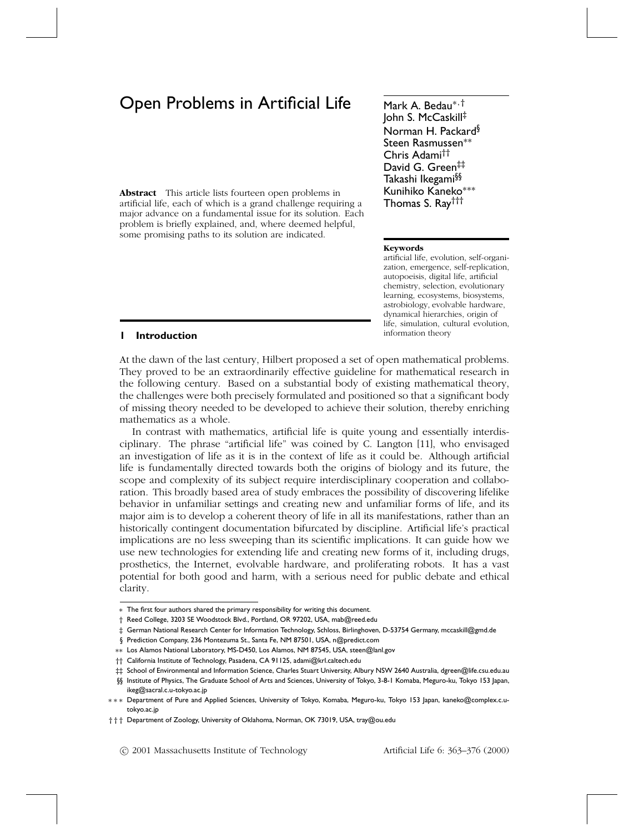# Open Problems in Artificial Life Mark A. Bedau<sup>\*,†</sup>

**Abstract** This article lists fourteen open problems in artificial life, each of which is a grand challenge requiring a major advance on a fundamental issue for its solution. Each problem is briefly explained, and, where deemed helpful, some promising paths to its solution are indicated.

John S. McCaskill‡ Norman H. Packard§ Steen Rasmussen∗∗ Chris Adami†† David G. Green<sup>##</sup> Takashi Ikegami§§ Kunihiko Kaneko∗∗∗ Thomas S. Ray†††

#### **Keywords**

artificial life, evolution, self-organization, emergence, self-replication, autopoeisis, digital life, artificial chemistry, selection, evolutionary learning, ecosystems, biosystems, astrobiology, evolvable hardware, dynamical hierarchies, origin of life, simulation, cultural evolution, information theory

#### **1 Introduction**

At the dawn of the last century, Hilbert proposed a set of open mathematical problems. They proved to be an extraordinarily effective guideline for mathematical research in the following century. Based on a substantial body of existing mathematical theory, the challenges were both precisely formulated and positioned so that a significant body of missing theory needed to be developed to achieve their solution, thereby enriching mathematics as a whole.

In contrast with mathematics, artificial life is quite young and essentially interdisciplinary. The phrase "artificial life" was coined by C. Langton [11], who envisaged an investigation of life as it is in the context of life as it could be. Although artificial life is fundamentally directed towards both the origins of biology and its future, the scope and complexity of its subject require interdisciplinary cooperation and collaboration. This broadly based area of study embraces the possibility of discovering lifelike behavior in unfamiliar settings and creating new and unfamiliar forms of life, and its major aim is to develop a coherent theory of life in all its manifestations, rather than an historically contingent documentation bifurcated by discipline. Artificial life's practical implications are no less sweeping than its scientific implications. It can guide how we use new technologies for extending life and creating new forms of it, including drugs, prosthetics, the Internet, evolvable hardware, and proliferating robots. It has a vast potential for both good and harm, with a serious need for public debate and ethical clarity.

<sup>∗</sup> The first four authors shared the primary responsibility for writing this document.

<sup>†</sup> Reed College, 3203 SE Woodstock Blvd., Portland, OR 97202, USA, mab@reed.edu

<sup>‡</sup> German National Research Center for Information Technology, Schloss, Birlinghoven, D-53754 Germany, mccaskill@gmd.de

<sup>§</sup> Prediction Company, 236 Montezuma St., Santa Fe, NM 87501, USA, n@predict.com

<sup>∗∗</sup> Los Alamos National Laboratory, MS-D450, Los Alamos, NM 87545, USA, steen@lanl.gov

<sup>††</sup> California Institute of Technology, Pasadena, CA 91125, adami@krl.caltech.edu

<sup>‡‡</sup> School of Environmental and Information Science, Charles Stuart University, Albury NSW 2640 Australia, dgreen@life.csu.edu.au

<sup>§§</sup> Institute of Physics, The Graduate School of Arts and Sciences, University of Tokyo, 3-8-1 Komaba, Meguro-ku, Tokyo 153 Japan, ikeg@sacral.c.u-tokyo.ac.jp

<sup>∗∗∗</sup> Department of Pure and Applied Sciences, University of Tokyo, Komaba, Meguro-ku, Tokyo 153 Japan, kaneko@complex.c.utokyo.ac.jp

<sup>† † †</sup> Department of Zoology, University of Oklahoma, Norman, OK 73019, USA, tray@ou.edu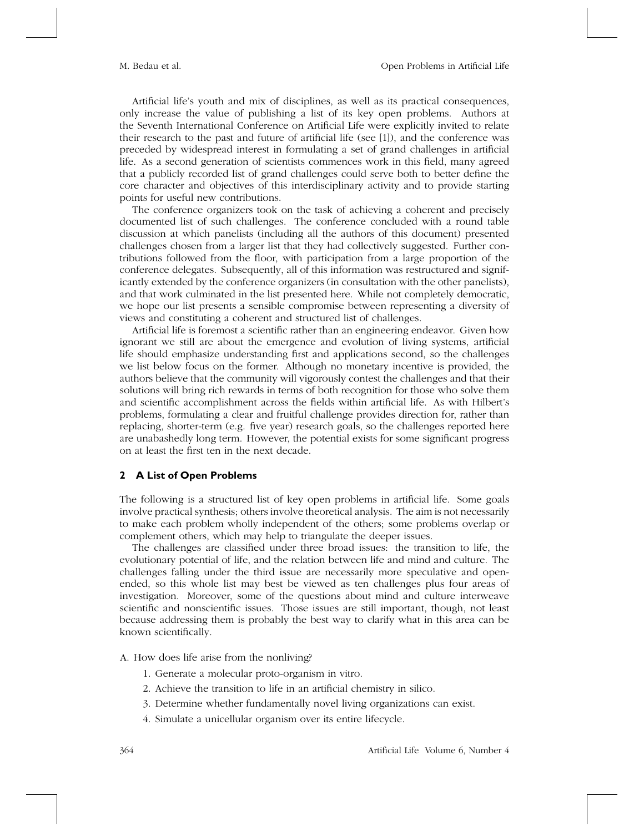Artificial life's youth and mix of disciplines, as well as its practical consequences, only increase the value of publishing a list of its key open problems. Authors at the Seventh International Conference on Artificial Life were explicitly invited to relate their research to the past and future of artificial life (see [1]), and the conference was preceded by widespread interest in formulating a set of grand challenges in artificial life. As a second generation of scientists commences work in this field, many agreed that a publicly recorded list of grand challenges could serve both to better define the core character and objectives of this interdisciplinary activity and to provide starting points for useful new contributions.

The conference organizers took on the task of achieving a coherent and precisely documented list of such challenges. The conference concluded with a round table discussion at which panelists (including all the authors of this document) presented challenges chosen from a larger list that they had collectively suggested. Further contributions followed from the floor, with participation from a large proportion of the conference delegates. Subsequently, all of this information was restructured and significantly extended by the conference organizers (in consultation with the other panelists), and that work culminated in the list presented here. While not completely democratic, we hope our list presents a sensible compromise between representing a diversity of views and constituting a coherent and structured list of challenges.

Artificial life is foremost a scientific rather than an engineering endeavor. Given how ignorant we still are about the emergence and evolution of living systems, artificial life should emphasize understanding first and applications second, so the challenges we list below focus on the former. Although no monetary incentive is provided, the authors believe that the community will vigorously contest the challenges and that their solutions will bring rich rewards in terms of both recognition for those who solve them and scientific accomplishment across the fields within artificial life. As with Hilbert's problems, formulating a clear and fruitful challenge provides direction for, rather than replacing, shorter-term (e.g. five year) research goals, so the challenges reported here are unabashedly long term. However, the potential exists for some significant progress on at least the first ten in the next decade.

#### **2 A List of Open Problems**

The following is a structured list of key open problems in artificial life. Some goals involve practical synthesis; others involve theoretical analysis. The aim is not necessarily to make each problem wholly independent of the others; some problems overlap or complement others, which may help to triangulate the deeper issues.

The challenges are classified under three broad issues: the transition to life, the evolutionary potential of life, and the relation between life and mind and culture. The challenges falling under the third issue are necessarily more speculative and openended, so this whole list may best be viewed as ten challenges plus four areas of investigation. Moreover, some of the questions about mind and culture interweave scientific and nonscientific issues. Those issues are still important, though, not least because addressing them is probably the best way to clarify what in this area can be known scientifically.

- A. How does life arise from the nonliving?
	- 1. Generate a molecular proto-organism in vitro.
	- 2. Achieve the transition to life in an artificial chemistry in silico.
	- 3. Determine whether fundamentally novel living organizations can exist.
	- 4. Simulate a unicellular organism over its entire lifecycle.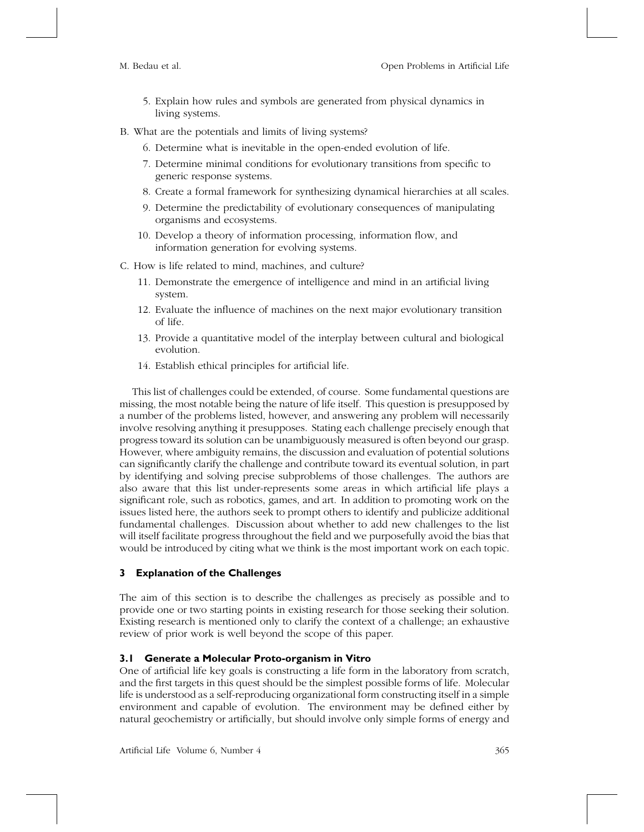- 5. Explain how rules and symbols are generated from physical dynamics in living systems.
- B. What are the potentials and limits of living systems?
	- 6. Determine what is inevitable in the open-ended evolution of life.
	- 7. Determine minimal conditions for evolutionary transitions from specific to generic response systems.
	- 8. Create a formal framework for synthesizing dynamical hierarchies at all scales.
	- 9. Determine the predictability of evolutionary consequences of manipulating organisms and ecosystems.
	- 10. Develop a theory of information processing, information flow, and information generation for evolving systems.
- C. How is life related to mind, machines, and culture?
	- 11. Demonstrate the emergence of intelligence and mind in an artificial living system.
	- 12. Evaluate the influence of machines on the next major evolutionary transition of life.
	- 13. Provide a quantitative model of the interplay between cultural and biological evolution.
	- 14. Establish ethical principles for artificial life.

This list of challenges could be extended, of course. Some fundamental questions are missing, the most notable being the nature of life itself. This question is presupposed by a number of the problems listed, however, and answering any problem will necessarily involve resolving anything it presupposes. Stating each challenge precisely enough that progress toward its solution can be unambiguously measured is often beyond our grasp. However, where ambiguity remains, the discussion and evaluation of potential solutions can significantly clarify the challenge and contribute toward its eventual solution, in part by identifying and solving precise subproblems of those challenges. The authors are also aware that this list under-represents some areas in which artificial life plays a significant role, such as robotics, games, and art. In addition to promoting work on the issues listed here, the authors seek to prompt others to identify and publicize additional fundamental challenges. Discussion about whether to add new challenges to the list will itself facilitate progress throughout the field and we purposefully avoid the bias that would be introduced by citing what we think is the most important work on each topic.

#### **3 Explanation of the Challenges**

The aim of this section is to describe the challenges as precisely as possible and to provide one or two starting points in existing research for those seeking their solution. Existing research is mentioned only to clarify the context of a challenge; an exhaustive review of prior work is well beyond the scope of this paper.

#### **3.1 Generate a Molecular Proto-organism in Vitro**

One of artificial life key goals is constructing a life form in the laboratory from scratch, and the first targets in this quest should be the simplest possible forms of life. Molecular life is understood as a self-reproducing organizational form constructing itself in a simple environment and capable of evolution. The environment may be defined either by natural geochemistry or artificially, but should involve only simple forms of energy and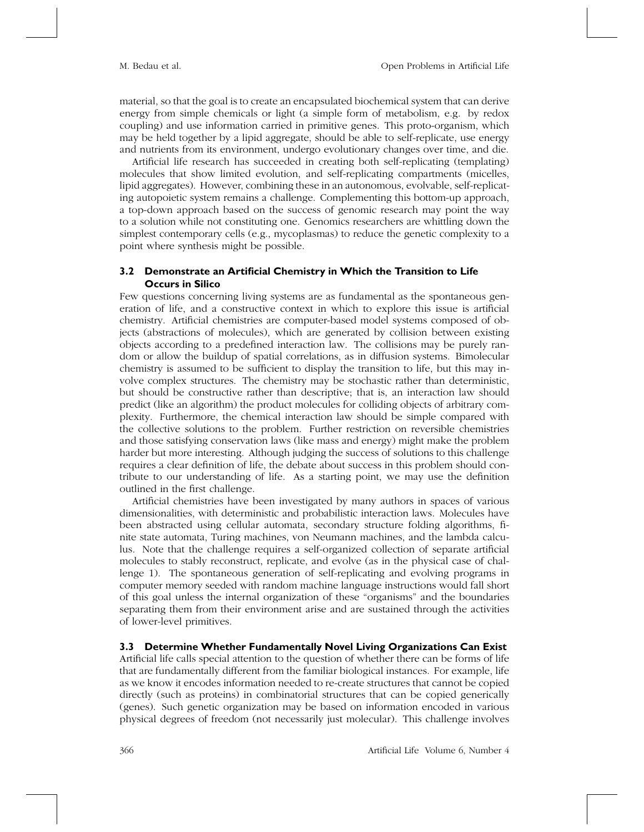material, so that the goal is to create an encapsulated biochemical system that can derive energy from simple chemicals or light (a simple form of metabolism, e.g. by redox coupling) and use information carried in primitive genes. This proto-organism, which may be held together by a lipid aggregate, should be able to self-replicate, use energy and nutrients from its environment, undergo evolutionary changes over time, and die.

Artificial life research has succeeded in creating both self-replicating (templating) molecules that show limited evolution, and self-replicating compartments (micelles, lipid aggregates). However, combining these in an autonomous, evolvable, self-replicating autopoietic system remains a challenge. Complementing this bottom-up approach, a top-down approach based on the success of genomic research may point the way to a solution while not constituting one. Genomics researchers are whittling down the simplest contemporary cells (e.g., mycoplasmas) to reduce the genetic complexity to a point where synthesis might be possible.

# **3.2 Demonstrate an Artificial Chemistry in Which the Transition to Life Occurs in Silico**

Few questions concerning living systems are as fundamental as the spontaneous generation of life, and a constructive context in which to explore this issue is artificial chemistry. Artificial chemistries are computer-based model systems composed of objects (abstractions of molecules), which are generated by collision between existing objects according to a predefined interaction law. The collisions may be purely random or allow the buildup of spatial correlations, as in diffusion systems. Bimolecular chemistry is assumed to be sufficient to display the transition to life, but this may involve complex structures. The chemistry may be stochastic rather than deterministic, but should be constructive rather than descriptive; that is, an interaction law should predict (like an algorithm) the product molecules for colliding objects of arbitrary complexity. Furthermore, the chemical interaction law should be simple compared with the collective solutions to the problem. Further restriction on reversible chemistries and those satisfying conservation laws (like mass and energy) might make the problem harder but more interesting. Although judging the success of solutions to this challenge requires a clear definition of life, the debate about success in this problem should contribute to our understanding of life. As a starting point, we may use the definition outlined in the first challenge.

Artificial chemistries have been investigated by many authors in spaces of various dimensionalities, with deterministic and probabilistic interaction laws. Molecules have been abstracted using cellular automata, secondary structure folding algorithms, finite state automata, Turing machines, von Neumann machines, and the lambda calculus. Note that the challenge requires a self-organized collection of separate artificial molecules to stably reconstruct, replicate, and evolve (as in the physical case of challenge 1). The spontaneous generation of self-replicating and evolving programs in computer memory seeded with random machine language instructions would fall short of this goal unless the internal organization of these "organisms" and the boundaries separating them from their environment arise and are sustained through the activities of lower-level primitives.

### **3.3 Determine Whether Fundamentally Novel Living Organizations Can Exist**

Artificial life calls special attention to the question of whether there can be forms of life that are fundamentally different from the familiar biological instances. For example, life as we know it encodes information needed to re-create structures that cannot be copied directly (such as proteins) in combinatorial structures that can be copied generically (genes). Such genetic organization may be based on information encoded in various physical degrees of freedom (not necessarily just molecular). This challenge involves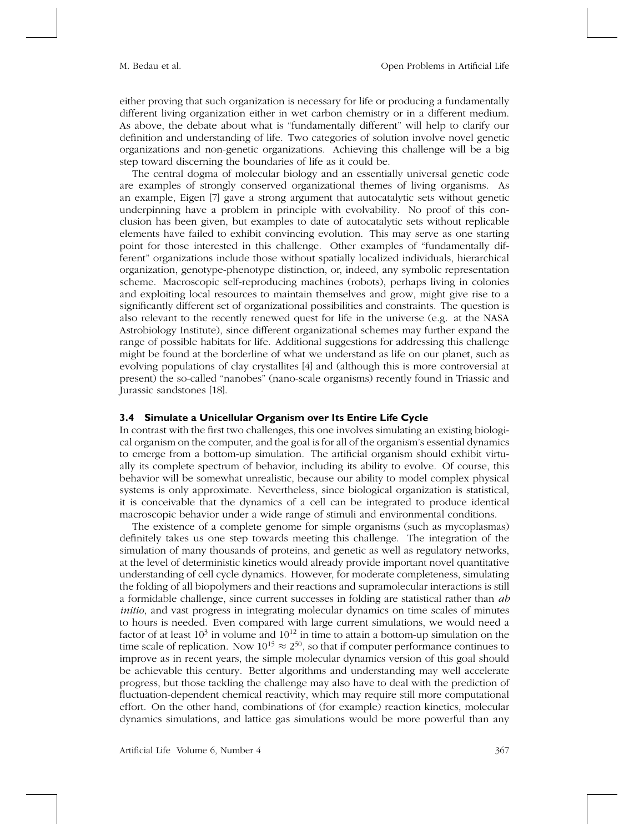either proving that such organization is necessary for life or producing a fundamentally different living organization either in wet carbon chemistry or in a different medium. As above, the debate about what is "fundamentally different" will help to clarify our definition and understanding of life. Two categories of solution involve novel genetic organizations and non-genetic organizations. Achieving this challenge will be a big step toward discerning the boundaries of life as it could be.

The central dogma of molecular biology and an essentially universal genetic code are examples of strongly conserved organizational themes of living organisms. As an example, Eigen [7] gave a strong argument that autocatalytic sets without genetic underpinning have a problem in principle with evolvability. No proof of this conclusion has been given, but examples to date of autocatalytic sets without replicable elements have failed to exhibit convincing evolution. This may serve as one starting point for those interested in this challenge. Other examples of "fundamentally different" organizations include those without spatially localized individuals, hierarchical organization, genotype-phenotype distinction, or, indeed, any symbolic representation scheme. Macroscopic self-reproducing machines (robots), perhaps living in colonies and exploiting local resources to maintain themselves and grow, might give rise to a significantly different set of organizational possibilities and constraints. The question is also relevant to the recently renewed quest for life in the universe (e.g. at the NASA Astrobiology Institute), since different organizational schemes may further expand the range of possible habitats for life. Additional suggestions for addressing this challenge might be found at the borderline of what we understand as life on our planet, such as evolving populations of clay crystallites [4] and (although this is more controversial at present) the so-called "nanobes" (nano-scale organisms) recently found in Triassic and Jurassic sandstones [18].

#### **3.4 Simulate a Unicellular Organism over Its Entire Life Cycle**

In contrast with the first two challenges, this one involves simulating an existing biological organism on the computer, and the goal is for all of the organism's essential dynamics to emerge from a bottom-up simulation. The artificial organism should exhibit virtually its complete spectrum of behavior, including its ability to evolve. Of course, this behavior will be somewhat unrealistic, because our ability to model complex physical systems is only approximate. Nevertheless, since biological organization is statistical, it is conceivable that the dynamics of a cell can be integrated to produce identical macroscopic behavior under a wide range of stimuli and environmental conditions.

The existence of a complete genome for simple organisms (such as mycoplasmas) definitely takes us one step towards meeting this challenge. The integration of the simulation of many thousands of proteins, and genetic as well as regulatory networks, at the level of deterministic kinetics would already provide important novel quantitative understanding of cell cycle dynamics. However, for moderate completeness, simulating the folding of all biopolymers and their reactions and supramolecular interactions is still a formidable challenge, since current successes in folding are statistical rather than *ab initio*, and vast progress in integrating molecular dynamics on time scales of minutes to hours is needed. Even compared with large current simulations, we would need a factor of at least  $10^3$  in volume and  $10^{12}$  in time to attain a bottom-up simulation on the time scale of replication. Now  $10^{15} \approx 2^{50}$ , so that if computer performance continues to improve as in recent years, the simple molecular dynamics version of this goal should be achievable this century. Better algorithms and understanding may well accelerate progress, but those tackling the challenge may also have to deal with the prediction of fluctuation-dependent chemical reactivity, which may require still more computational effort. On the other hand, combinations of (for example) reaction kinetics, molecular dynamics simulations, and lattice gas simulations would be more powerful than any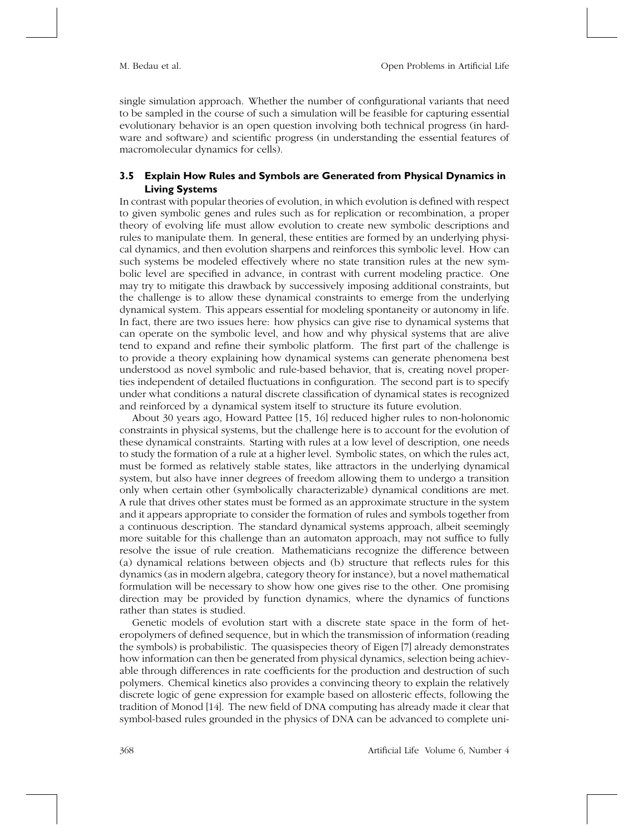single simulation approach. Whether the number of configurational variants that need to be sampled in the course of such a simulation will be feasible for capturing essential evolutionary behavior is an open question involving both technical progress (in hardware and software) and scientific progress (in understanding the essential features of macromolecular dynamics for cells).

# **3.5 Explain How Rules and Symbols are Generated from Physical Dynamics in Living Systems**

In contrast with popular theories of evolution, in which evolution is defined with respect to given symbolic genes and rules such as for replication or recombination, a proper theory of evolving life must allow evolution to create new symbolic descriptions and rules to manipulate them. In general, these entities are formed by an underlying physical dynamics, and then evolution sharpens and reinforces this symbolic level. How can such systems be modeled effectively where no state transition rules at the new symbolic level are specified in advance, in contrast with current modeling practice. One may try to mitigate this drawback by successively imposing additional constraints, but the challenge is to allow these dynamical constraints to emerge from the underlying dynamical system. This appears essential for modeling spontaneity or autonomy in life. In fact, there are two issues here: how physics can give rise to dynamical systems that can operate on the symbolic level, and how and why physical systems that are alive tend to expand and refine their symbolic platform. The first part of the challenge is to provide a theory explaining how dynamical systems can generate phenomena best understood as novel symbolic and rule-based behavior, that is, creating novel properties independent of detailed fluctuations in configuration. The second part is to specify under what conditions a natural discrete classification of dynamical states is recognized and reinforced by a dynamical system itself to structure its future evolution.

About 30 years ago, Howard Pattee [15, 16] reduced higher rules to non-holonomic constraints in physical systems, but the challenge here is to account for the evolution of these dynamical constraints. Starting with rules at a low level of description, one needs to study the formation of a rule at a higher level. Symbolic states, on which the rules act, must be formed as relatively stable states, like attractors in the underlying dynamical system, but also have inner degrees of freedom allowing them to undergo a transition only when certain other (symbolically characterizable) dynamical conditions are met. A rule that drives other states must be formed as an approximate structure in the system and it appears appropriate to consider the formation of rules and symbols together from a continuous description. The standard dynamical systems approach, albeit seemingly more suitable for this challenge than an automaton approach, may not suffice to fully resolve the issue of rule creation. Mathematicians recognize the difference between (a) dynamical relations between objects and (b) structure that reflects rules for this dynamics (as in modern algebra, category theory for instance), but a novel mathematical formulation will be necessary to show how one gives rise to the other. One promising direction may be provided by function dynamics, where the dynamics of functions rather than states is studied.

Genetic models of evolution start with a discrete state space in the form of heteropolymers of defined sequence, but in which the transmission of information (reading the symbols) is probabilistic. The quasispecies theory of Eigen [7] already demonstrates how information can then be generated from physical dynamics, selection being achievable through differences in rate coefficients for the production and destruction of such polymers. Chemical kinetics also provides a convincing theory to explain the relatively discrete logic of gene expression for example based on allosteric effects, following the tradition of Monod [14]. The new field of DNA computing has already made it clear that symbol-based rules grounded in the physics of DNA can be advanced to complete uni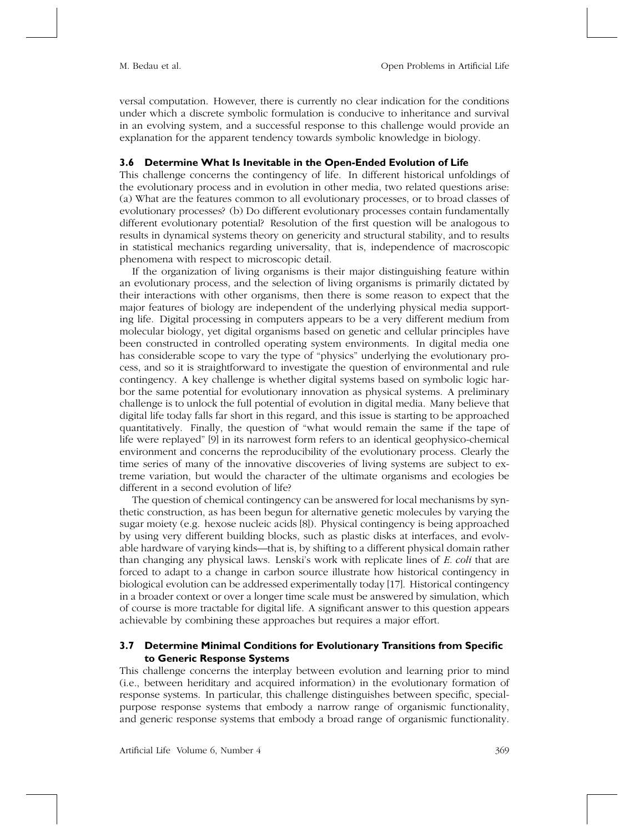versal computation. However, there is currently no clear indication for the conditions under which a discrete symbolic formulation is conducive to inheritance and survival in an evolving system, and a successful response to this challenge would provide an explanation for the apparent tendency towards symbolic knowledge in biology.

#### **3.6 Determine What Is Inevitable in the Open-Ended Evolution of Life**

This challenge concerns the contingency of life. In different historical unfoldings of the evolutionary process and in evolution in other media, two related questions arise: (a) What are the features common to all evolutionary processes, or to broad classes of evolutionary processes? (b) Do different evolutionary processes contain fundamentally different evolutionary potential? Resolution of the first question will be analogous to results in dynamical systems theory on genericity and structural stability, and to results in statistical mechanics regarding universality, that is, independence of macroscopic phenomena with respect to microscopic detail.

If the organization of living organisms is their major distinguishing feature within an evolutionary process, and the selection of living organisms is primarily dictated by their interactions with other organisms, then there is some reason to expect that the major features of biology are independent of the underlying physical media supporting life. Digital processing in computers appears to be a very different medium from molecular biology, yet digital organisms based on genetic and cellular principles have been constructed in controlled operating system environments. In digital media one has considerable scope to vary the type of "physics" underlying the evolutionary process, and so it is straightforward to investigate the question of environmental and rule contingency. A key challenge is whether digital systems based on symbolic logic harbor the same potential for evolutionary innovation as physical systems. A preliminary challenge is to unlock the full potential of evolution in digital media. Many believe that digital life today falls far short in this regard, and this issue is starting to be approached quantitatively. Finally, the question of "what would remain the same if the tape of life were replayed" [9] in its narrowest form refers to an identical geophysico-chemical environment and concerns the reproducibility of the evolutionary process. Clearly the time series of many of the innovative discoveries of living systems are subject to extreme variation, but would the character of the ultimate organisms and ecologies be different in a second evolution of life?

The question of chemical contingency can be answered for local mechanisms by synthetic construction, as has been begun for alternative genetic molecules by varying the sugar moiety (e.g. hexose nucleic acids [8]). Physical contingency is being approached by using very different building blocks, such as plastic disks at interfaces, and evolvable hardware of varying kinds—that is, by shifting to a different physical domain rather than changing any physical laws. Lenski's work with replicate lines of *E. coli* that are forced to adapt to a change in carbon source illustrate how historical contingency in biological evolution can be addressed experimentally today [17]. Historical contingency in a broader context or over a longer time scale must be answered by simulation, which of course is more tractable for digital life. A significant answer to this question appears achievable by combining these approaches but requires a major effort.

# **3.7 Determine Minimal Conditions for Evolutionary Transitions from Specific to Generic Response Systems**

This challenge concerns the interplay between evolution and learning prior to mind (i.e., between heriditary and acquired information) in the evolutionary formation of response systems. In particular, this challenge distinguishes between specific, specialpurpose response systems that embody a narrow range of organismic functionality, and generic response systems that embody a broad range of organismic functionality.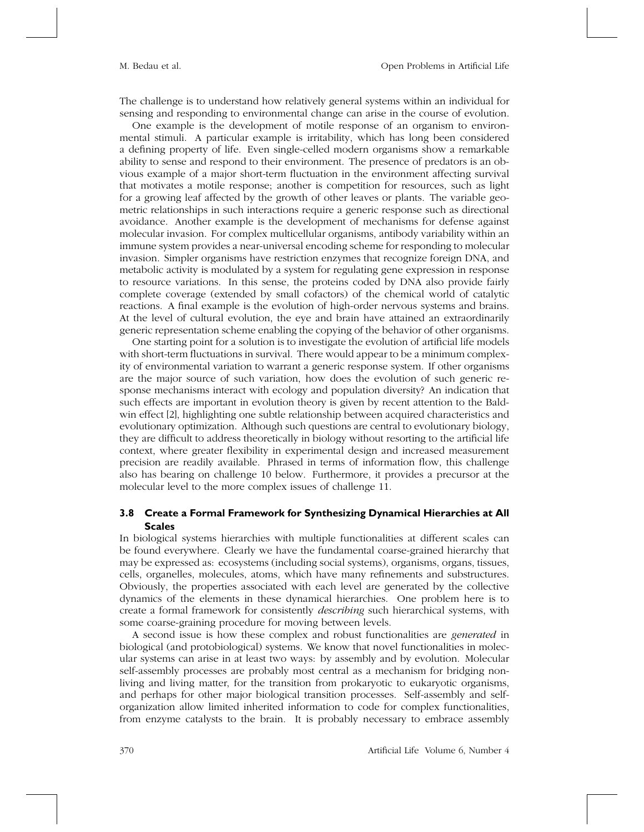The challenge is to understand how relatively general systems within an individual for sensing and responding to environmental change can arise in the course of evolution.

One example is the development of motile response of an organism to environmental stimuli. A particular example is irritability, which has long been considered a defining property of life. Even single-celled modern organisms show a remarkable ability to sense and respond to their environment. The presence of predators is an obvious example of a major short-term fluctuation in the environment affecting survival that motivates a motile response; another is competition for resources, such as light for a growing leaf affected by the growth of other leaves or plants. The variable geometric relationships in such interactions require a generic response such as directional avoidance. Another example is the development of mechanisms for defense against molecular invasion. For complex multicellular organisms, antibody variability within an immune system provides a near-universal encoding scheme for responding to molecular invasion. Simpler organisms have restriction enzymes that recognize foreign DNA, and metabolic activity is modulated by a system for regulating gene expression in response to resource variations. In this sense, the proteins coded by DNA also provide fairly complete coverage (extended by small cofactors) of the chemical world of catalytic reactions. A final example is the evolution of high-order nervous systems and brains. At the level of cultural evolution, the eye and brain have attained an extraordinarily generic representation scheme enabling the copying of the behavior of other organisms.

One starting point for a solution is to investigate the evolution of artificial life models with short-term fluctuations in survival. There would appear to be a minimum complexity of environmental variation to warrant a generic response system. If other organisms are the major source of such variation, how does the evolution of such generic response mechanisms interact with ecology and population diversity? An indication that such effects are important in evolution theory is given by recent attention to the Baldwin effect [2], highlighting one subtle relationship between acquired characteristics and evolutionary optimization. Although such questions are central to evolutionary biology, they are difficult to address theoretically in biology without resorting to the artificial life context, where greater flexibility in experimental design and increased measurement precision are readily available. Phrased in terms of information flow, this challenge also has bearing on challenge 10 below. Furthermore, it provides a precursor at the molecular level to the more complex issues of challenge 11.

# **3.8 Create a Formal Framework for Synthesizing Dynamical Hierarchies at All Scales**

In biological systems hierarchies with multiple functionalities at different scales can be found everywhere. Clearly we have the fundamental coarse-grained hierarchy that may be expressed as: ecosystems (including social systems), organisms, organs, tissues, cells, organelles, molecules, atoms, which have many refinements and substructures. Obviously, the properties associated with each level are generated by the collective dynamics of the elements in these dynamical hierarchies. One problem here is to create a formal framework for consistently *describing* such hierarchical systems, with some coarse-graining procedure for moving between levels.

A second issue is how these complex and robust functionalities are *generated* in biological (and protobiological) systems. We know that novel functionalities in molecular systems can arise in at least two ways: by assembly and by evolution. Molecular self-assembly processes are probably most central as a mechanism for bridging nonliving and living matter, for the transition from prokaryotic to eukaryotic organisms, and perhaps for other major biological transition processes. Self-assembly and selforganization allow limited inherited information to code for complex functionalities, from enzyme catalysts to the brain. It is probably necessary to embrace assembly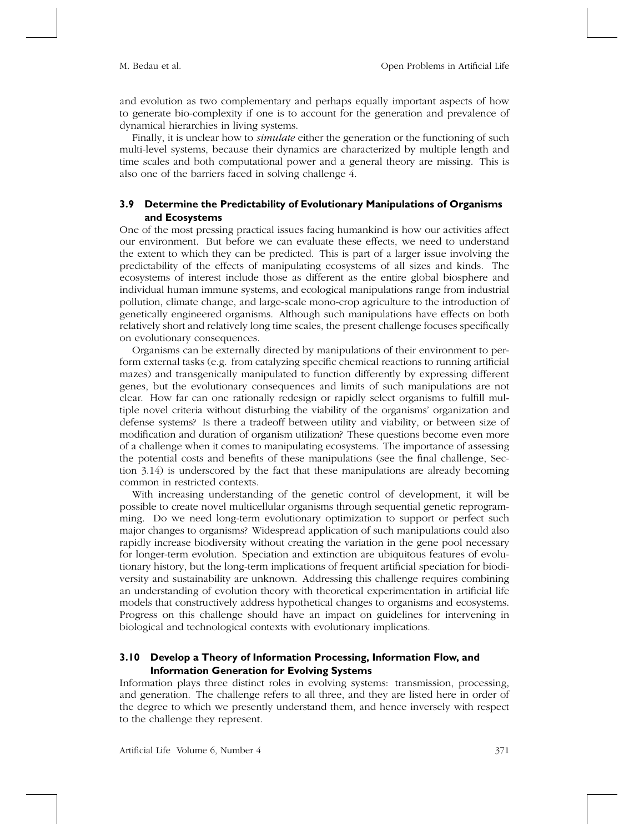and evolution as two complementary and perhaps equally important aspects of how to generate bio-complexity if one is to account for the generation and prevalence of dynamical hierarchies in living systems.

Finally, it is unclear how to *simulate* either the generation or the functioning of such multi-level systems, because their dynamics are characterized by multiple length and time scales and both computational power and a general theory are missing. This is also one of the barriers faced in solving challenge 4.

# **3.9 Determine the Predictability of Evolutionary Manipulations of Organisms and Ecosystems**

One of the most pressing practical issues facing humankind is how our activities affect our environment. But before we can evaluate these effects, we need to understand the extent to which they can be predicted. This is part of a larger issue involving the predictability of the effects of manipulating ecosystems of all sizes and kinds. The ecosystems of interest include those as different as the entire global biosphere and individual human immune systems, and ecological manipulations range from industrial pollution, climate change, and large-scale mono-crop agriculture to the introduction of genetically engineered organisms. Although such manipulations have effects on both relatively short and relatively long time scales, the present challenge focuses specifically on evolutionary consequences.

Organisms can be externally directed by manipulations of their environment to perform external tasks (e.g. from catalyzing specific chemical reactions to running artificial mazes) and transgenically manipulated to function differently by expressing different genes, but the evolutionary consequences and limits of such manipulations are not clear. How far can one rationally redesign or rapidly select organisms to fulfill multiple novel criteria without disturbing the viability of the organisms' organization and defense systems? Is there a tradeoff between utility and viability, or between size of modification and duration of organism utilization? These questions become even more of a challenge when it comes to manipulating ecosystems. The importance of assessing the potential costs and benefits of these manipulations (see the final challenge, Section 3.14) is underscored by the fact that these manipulations are already becoming common in restricted contexts.

With increasing understanding of the genetic control of development, it will be possible to create novel multicellular organisms through sequential genetic reprogramming. Do we need long-term evolutionary optimization to support or perfect such major changes to organisms? Widespread application of such manipulations could also rapidly increase biodiversity without creating the variation in the gene pool necessary for longer-term evolution. Speciation and extinction are ubiquitous features of evolutionary history, but the long-term implications of frequent artificial speciation for biodiversity and sustainability are unknown. Addressing this challenge requires combining an understanding of evolution theory with theoretical experimentation in artificial life models that constructively address hypothetical changes to organisms and ecosystems. Progress on this challenge should have an impact on guidelines for intervening in biological and technological contexts with evolutionary implications.

# **3.10 Develop a Theory of Information Processing, Information Flow, and Information Generation for Evolving Systems**

Information plays three distinct roles in evolving systems: transmission, processing, and generation. The challenge refers to all three, and they are listed here in order of the degree to which we presently understand them, and hence inversely with respect to the challenge they represent.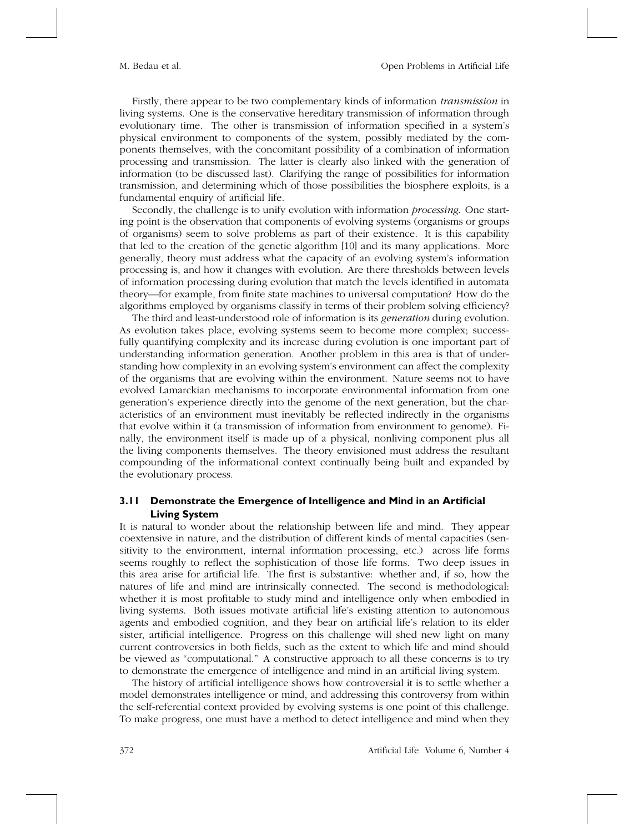Firstly, there appear to be two complementary kinds of information *transmission* in living systems. One is the conservative hereditary transmission of information through evolutionary time. The other is transmission of information specified in a system's physical environment to components of the system, possibly mediated by the components themselves, with the concomitant possibility of a combination of information processing and transmission. The latter is clearly also linked with the generation of information (to be discussed last). Clarifying the range of possibilities for information transmission, and determining which of those possibilities the biosphere exploits, is a fundamental enquiry of artificial life.

Secondly, the challenge is to unify evolution with information *processing*. One starting point is the observation that components of evolving systems (organisms or groups of organisms) seem to solve problems as part of their existence. It is this capability that led to the creation of the genetic algorithm [10] and its many applications. More generally, theory must address what the capacity of an evolving system's information processing is, and how it changes with evolution. Are there thresholds between levels of information processing during evolution that match the levels identified in automata theory—for example, from finite state machines to universal computation? How do the algorithms employed by organisms classify in terms of their problem solving efficiency?

The third and least-understood role of information is its *generation* during evolution. As evolution takes place, evolving systems seem to become more complex; successfully quantifying complexity and its increase during evolution is one important part of understanding information generation. Another problem in this area is that of understanding how complexity in an evolving system's environment can affect the complexity of the organisms that are evolving within the environment. Nature seems not to have evolved Lamarckian mechanisms to incorporate environmental information from one generation's experience directly into the genome of the next generation, but the characteristics of an environment must inevitably be reflected indirectly in the organisms that evolve within it (a transmission of information from environment to genome). Finally, the environment itself is made up of a physical, nonliving component plus all the living components themselves. The theory envisioned must address the resultant compounding of the informational context continually being built and expanded by the evolutionary process.

# **3.11 Demonstrate the Emergence of Intelligence and Mind in an Artificial Living System**

It is natural to wonder about the relationship between life and mind. They appear coextensive in nature, and the distribution of different kinds of mental capacities (sensitivity to the environment, internal information processing, etc.) across life forms seems roughly to reflect the sophistication of those life forms. Two deep issues in this area arise for artificial life. The first is substantive: whether and, if so, how the natures of life and mind are intrinsically connected. The second is methodological: whether it is most profitable to study mind and intelligence only when embodied in living systems. Both issues motivate artificial life's existing attention to autonomous agents and embodied cognition, and they bear on artificial life's relation to its elder sister, artificial intelligence. Progress on this challenge will shed new light on many current controversies in both fields, such as the extent to which life and mind should be viewed as "computational." A constructive approach to all these concerns is to try to demonstrate the emergence of intelligence and mind in an artificial living system.

The history of artificial intelligence shows how controversial it is to settle whether a model demonstrates intelligence or mind, and addressing this controversy from within the self-referential context provided by evolving systems is one point of this challenge. To make progress, one must have a method to detect intelligence and mind when they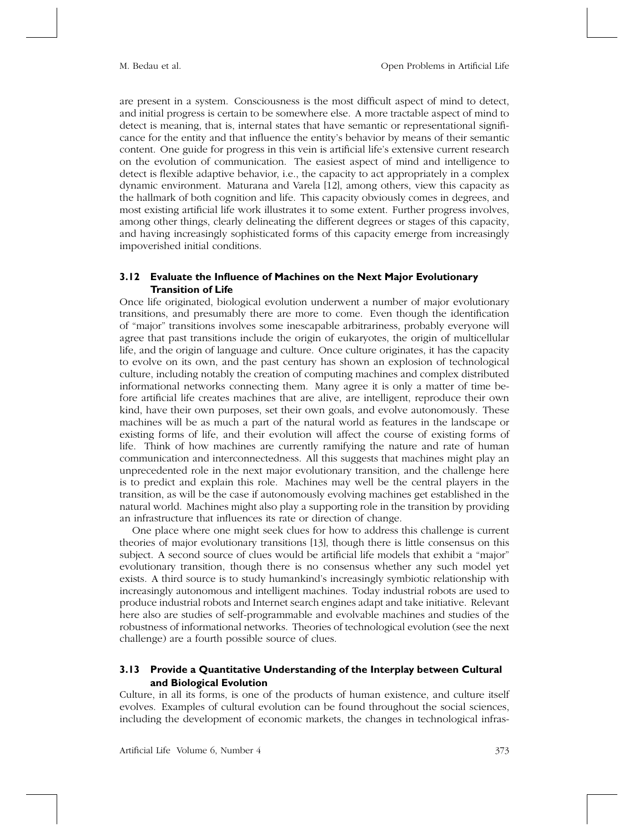are present in a system. Consciousness is the most difficult aspect of mind to detect, and initial progress is certain to be somewhere else. A more tractable aspect of mind to detect is meaning, that is, internal states that have semantic or representational significance for the entity and that influence the entity's behavior by means of their semantic content. One guide for progress in this vein is artificial life's extensive current research on the evolution of communication. The easiest aspect of mind and intelligence to detect is flexible adaptive behavior, i.e., the capacity to act appropriately in a complex dynamic environment. Maturana and Varela [12], among others, view this capacity as the hallmark of both cognition and life. This capacity obviously comes in degrees, and most existing artificial life work illustrates it to some extent. Further progress involves, among other things, clearly delineating the different degrees or stages of this capacity, and having increasingly sophisticated forms of this capacity emerge from increasingly impoverished initial conditions.

# **3.12 Evaluate the Influence of Machines on the Next Major Evolutionary Transition of Life**

Once life originated, biological evolution underwent a number of major evolutionary transitions, and presumably there are more to come. Even though the identification of "major" transitions involves some inescapable arbitrariness, probably everyone will agree that past transitions include the origin of eukaryotes, the origin of multicellular life, and the origin of language and culture. Once culture originates, it has the capacity to evolve on its own, and the past century has shown an explosion of technological culture, including notably the creation of computing machines and complex distributed informational networks connecting them. Many agree it is only a matter of time before artificial life creates machines that are alive, are intelligent, reproduce their own kind, have their own purposes, set their own goals, and evolve autonomously. These machines will be as much a part of the natural world as features in the landscape or existing forms of life, and their evolution will affect the course of existing forms of life. Think of how machines are currently ramifying the nature and rate of human communication and interconnectedness. All this suggests that machines might play an unprecedented role in the next major evolutionary transition, and the challenge here is to predict and explain this role. Machines may well be the central players in the transition, as will be the case if autonomously evolving machines get established in the natural world. Machines might also play a supporting role in the transition by providing an infrastructure that influences its rate or direction of change.

One place where one might seek clues for how to address this challenge is current theories of major evolutionary transitions [13], though there is little consensus on this subject. A second source of clues would be artificial life models that exhibit a "major" evolutionary transition, though there is no consensus whether any such model yet exists. A third source is to study humankind's increasingly symbiotic relationship with increasingly autonomous and intelligent machines. Today industrial robots are used to produce industrial robots and Internet search engines adapt and take initiative. Relevant here also are studies of self-programmable and evolvable machines and studies of the robustness of informational networks. Theories of technological evolution (see the next challenge) are a fourth possible source of clues.

# **3.13 Provide a Quantitative Understanding of the Interplay between Cultural and Biological Evolution**

Culture, in all its forms, is one of the products of human existence, and culture itself evolves. Examples of cultural evolution can be found throughout the social sciences, including the development of economic markets, the changes in technological infras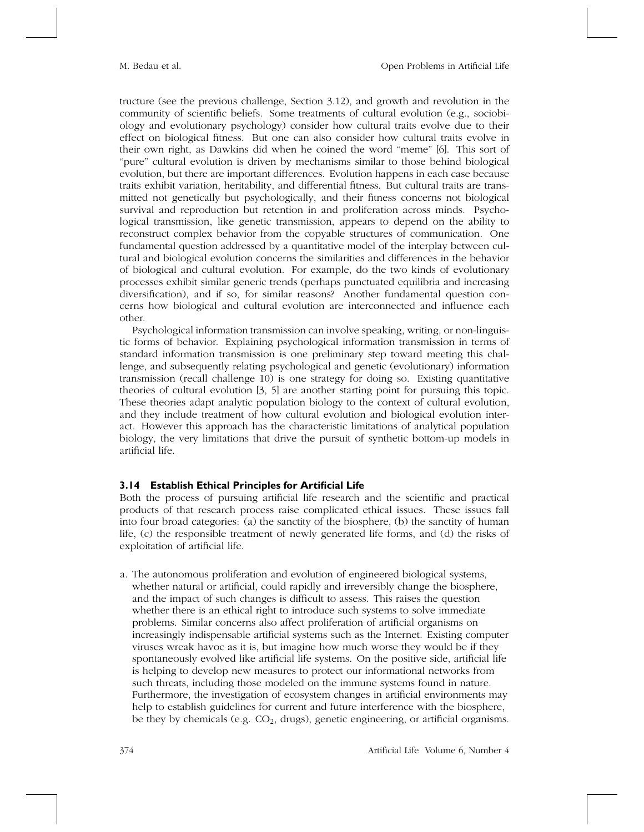tructure (see the previous challenge, Section 3.12), and growth and revolution in the community of scientific beliefs. Some treatments of cultural evolution (e.g., sociobiology and evolutionary psychology) consider how cultural traits evolve due to their effect on biological fitness. But one can also consider how cultural traits evolve in their own right, as Dawkins did when he coined the word "meme" [6]. This sort of "pure" cultural evolution is driven by mechanisms similar to those behind biological evolution, but there are important differences. Evolution happens in each case because traits exhibit variation, heritability, and differential fitness. But cultural traits are transmitted not genetically but psychologically, and their fitness concerns not biological survival and reproduction but retention in and proliferation across minds. Psychological transmission, like genetic transmission, appears to depend on the ability to reconstruct complex behavior from the copyable structures of communication. One fundamental question addressed by a quantitative model of the interplay between cultural and biological evolution concerns the similarities and differences in the behavior of biological and cultural evolution. For example, do the two kinds of evolutionary processes exhibit similar generic trends (perhaps punctuated equilibria and increasing diversification), and if so, for similar reasons? Another fundamental question concerns how biological and cultural evolution are interconnected and influence each other.

Psychological information transmission can involve speaking, writing, or non-linguistic forms of behavior. Explaining psychological information transmission in terms of standard information transmission is one preliminary step toward meeting this challenge, and subsequently relating psychological and genetic (evolutionary) information transmission (recall challenge 10) is one strategy for doing so. Existing quantitative theories of cultural evolution [3, 5] are another starting point for pursuing this topic. These theories adapt analytic population biology to the context of cultural evolution, and they include treatment of how cultural evolution and biological evolution interact. However this approach has the characteristic limitations of analytical population biology, the very limitations that drive the pursuit of synthetic bottom-up models in artificial life.

### **3.14 Establish Ethical Principles for Artificial Life**

Both the process of pursuing artificial life research and the scientific and practical products of that research process raise complicated ethical issues. These issues fall into four broad categories: (a) the sanctity of the biosphere, (b) the sanctity of human life, (c) the responsible treatment of newly generated life forms, and (d) the risks of exploitation of artificial life.

a. The autonomous proliferation and evolution of engineered biological systems, whether natural or artificial, could rapidly and irreversibly change the biosphere, and the impact of such changes is difficult to assess. This raises the question whether there is an ethical right to introduce such systems to solve immediate problems. Similar concerns also affect proliferation of artificial organisms on increasingly indispensable artificial systems such as the Internet. Existing computer viruses wreak havoc as it is, but imagine how much worse they would be if they spontaneously evolved like artificial life systems. On the positive side, artificial life is helping to develop new measures to protect our informational networks from such threats, including those modeled on the immune systems found in nature. Furthermore, the investigation of ecosystem changes in artificial environments may help to establish guidelines for current and future interference with the biosphere, be they by chemicals (e.g.  $CO<sub>2</sub>$ , drugs), genetic engineering, or artificial organisms.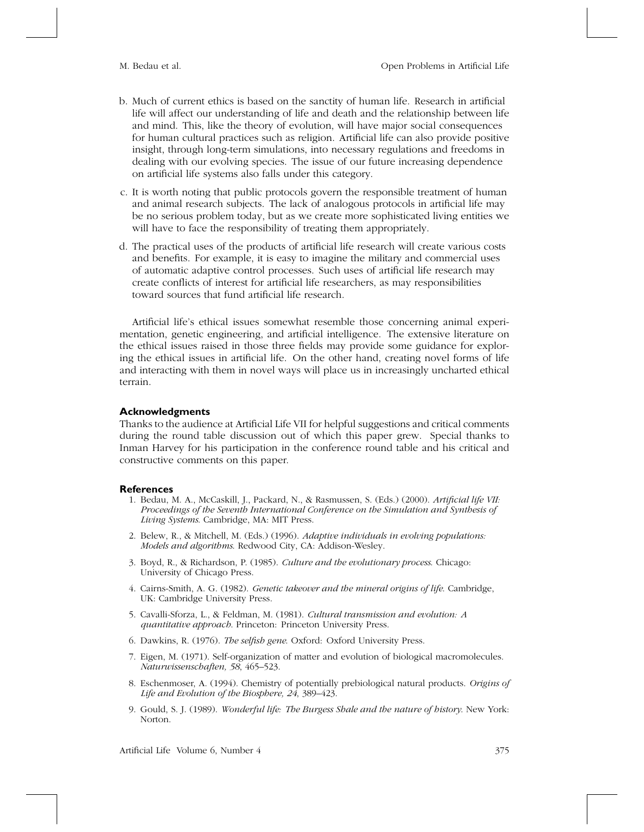- b. Much of current ethics is based on the sanctity of human life. Research in artificial life will affect our understanding of life and death and the relationship between life and mind. This, like the theory of evolution, will have major social consequences for human cultural practices such as religion. Artificial life can also provide positive insight, through long-term simulations, into necessary regulations and freedoms in dealing with our evolving species. The issue of our future increasing dependence on artificial life systems also falls under this category.
- c. It is worth noting that public protocols govern the responsible treatment of human and animal research subjects. The lack of analogous protocols in artificial life may be no serious problem today, but as we create more sophisticated living entities we will have to face the responsibility of treating them appropriately.
- d. The practical uses of the products of artificial life research will create various costs and benefits. For example, it is easy to imagine the military and commercial uses of automatic adaptive control processes. Such uses of artificial life research may create conflicts of interest for artificial life researchers, as may responsibilities toward sources that fund artificial life research.

Artificial life's ethical issues somewhat resemble those concerning animal experimentation, genetic engineering, and artificial intelligence. The extensive literature on the ethical issues raised in those three fields may provide some guidance for exploring the ethical issues in artificial life. On the other hand, creating novel forms of life and interacting with them in novel ways will place us in increasingly uncharted ethical terrain.

#### **Acknowledgments**

Thanks to the audience at Artificial Life VII for helpful suggestions and critical comments during the round table discussion out of which this paper grew. Special thanks to Inman Harvey for his participation in the conference round table and his critical and constructive comments on this paper.

#### **References**

- 1. Bedau, M. A., McCaskill, J., Packard, N., & Rasmussen, S. (Eds.) (2000). *Artificial life VII: Proceedings of the Seventh International Conference on the Simulation and Synthesis of Living Systems*. Cambridge, MA: MIT Press.
- 2. Belew, R., & Mitchell, M. (Eds.) (1996). *Adaptive individuals in evolving populations: Models and algorithms*. Redwood City, CA: Addison-Wesley.
- 3. Boyd, R., & Richardson, P. (1985). *Culture and the evolutionary process*. Chicago: University of Chicago Press.
- 4. Cairns-Smith, A. G. (1982). *Genetic takeover and the mineral origins of life*. Cambridge, UK: Cambridge University Press.
- 5. Cavalli-Sforza, L., & Feldman, M. (1981). *Cultural transmission and evolution: A quantitative approach*. Princeton: Princeton University Press.
- 6. Dawkins, R. (1976). *The selfish gene*. Oxford: Oxford University Press.
- 7. Eigen, M. (1971). Self-organization of matter and evolution of biological macromolecules. *Naturwissenschaften, 58*, 465–523.
- 8. Eschenmoser, A. (1994). Chemistry of potentially prebiological natural products. *Origins of Life and Evolution of the Biosphere, 24*, 389–423.
- 9. Gould, S. J. (1989). *Wonderful life: The Burgess Shale and the nature of history*. New York: Norton.